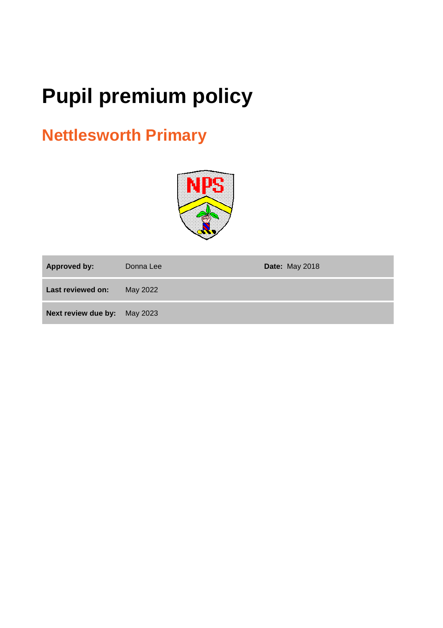# **Pupil premium policy**

## **Nettlesworth Primary**



| <b>Approved by:</b>          | Donna Lee | <b>Date: May 2018</b> |
|------------------------------|-----------|-----------------------|
| Last reviewed on:            | May 2022  |                       |
| Next review due by: May 2023 |           |                       |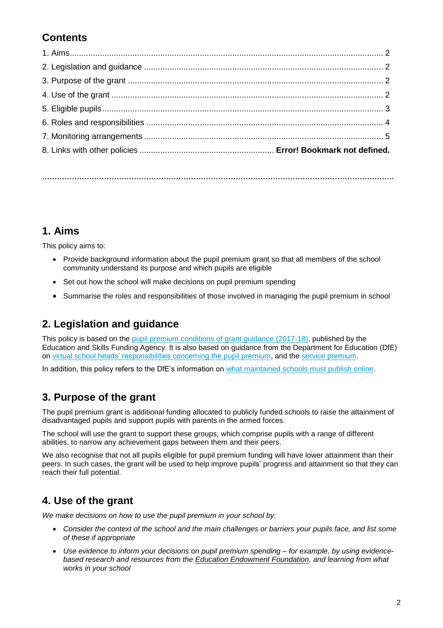## **Contents**

**…………………………………………………………………………………………………………………………….**

### **1. Aims**

This policy aims to:

- Provide background information about the pupil premium grant so that all members of the school community understand its purpose and which pupils are eligible
- Set out how the school will make decisions on pupil premium spending
- Summarise the roles and responsibilities of those involved in managing the pupil premium in school

## **2. Legislation and guidance**

This policy is based on the [pupil premium conditions of grant guidance \(2017-18\),](https://www.gov.uk/government/publications/pupil-premium-conditions-of-grant-2017-to-2018/pupil-premium-conditions-of-grant-2017-to-2018) published by the Education and Skills Funding Agency. It is also based on guidance from the Department for Education (DfE) on [virtual school heads' responsibilities concerning the pupil premium,](https://www.gov.uk/guidance/pupil-premium-virtual-school-heads-responsibilities) and the [service premium.](https://www.gov.uk/guidance/service-premium-information-for-schools)

In addition, this policy refers to the DfE's information on [what maintained schools must publish online.](https://www.gov.uk/guidance/what-maintained-schools-must-publish-online#pupil-premium)

## **3. Purpose of the grant**

The pupil premium grant is additional funding allocated to publicly funded schools to raise the attainment of disadvantaged pupils and support pupils with parents in the armed forces.

The school will use the grant to support these groups, which comprise pupils with a range of different abilities, to narrow any achievement gaps between them and their peers.

We also recognise that not all pupils eligible for pupil premium funding will have lower attainment than their peers. In such cases, the grant will be used to help improve pupils' progress and attainment so that they can reach their full potential.

## **4. Use of the grant**

*We make decisions on how to use the pupil premium in your school by:*

- *Consider the context of the school and the main challenges or barriers your pupils face, and list some of these if appropriate*
- *Use evidence to inform your decisions on pupil premium spending – for example, by using evidencebased research and resources from the [Education Endowment Foundation,](https://educationendowmentfoundation.org.uk/) and learning from what works in your school*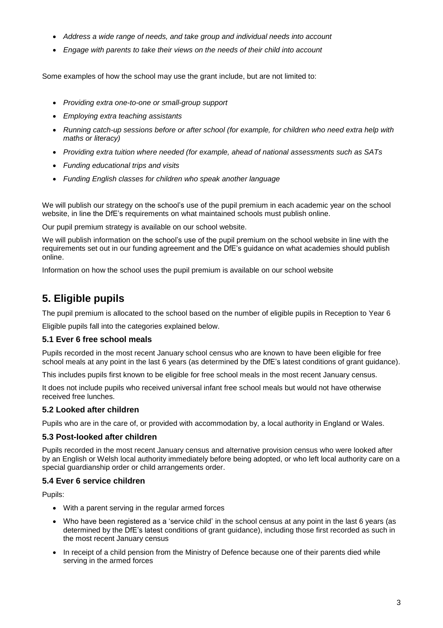- *Address a wide range of needs, and take group and individual needs into account*
- *Engage with parents to take their views on the needs of their child into account*

Some examples of how the school may use the grant include, but are not limited to:

- *Providing extra one-to-one or small-group support*
- *Employing extra teaching assistants*
- *Running catch-up sessions before or after school (for example, for children who need extra help with maths or literacy)*
- *Providing extra tuition where needed (for example, ahead of national assessments such as SATs*
- *Funding educational trips and visits*
- *Funding English classes for children who speak another language*

We will publish our strategy on the school's use of the pupil premium in each academic year on the school website, in line the DfE's requirements on what maintained schools must publish online.

Our pupil premium strategy is available on our school website.

We will publish information on the school's use of the pupil premium on the school website in line with the requirements set out in our funding agreement and the DfE's guidance on what academies should publish online.

Information on how the school uses the pupil premium is available on our school website

## **5. Eligible pupils**

The pupil premium is allocated to the school based on the number of eligible pupils in Reception to Year 6

Eligible pupils fall into the categories explained below.

#### **5.1 Ever 6 free school meals**

Pupils recorded in the most recent January school census who are known to have been eligible for free school meals at any point in the last 6 years (as determined by the DfE's latest conditions of grant guidance).

This includes pupils first known to be eligible for free school meals in the most recent January census.

It does not include pupils who received universal infant free school meals but would not have otherwise received free lunches.

#### **5.2 Looked after children**

Pupils who are in the care of, or provided with accommodation by, a local authority in England or Wales.

#### **5.3 Post-looked after children**

Pupils recorded in the most recent January census and alternative provision census who were looked after by an English or Welsh local authority immediately before being adopted, or who left local authority care on a special guardianship order or child arrangements order.

#### **5.4 Ever 6 service children**

Pupils:

- With a parent serving in the regular armed forces
- Who have been registered as a 'service child' in the school census at any point in the last 6 years (as determined by the DfE's latest conditions of grant guidance), including those first recorded as such in the most recent January census
- In receipt of a child pension from the Ministry of Defence because one of their parents died while serving in the armed forces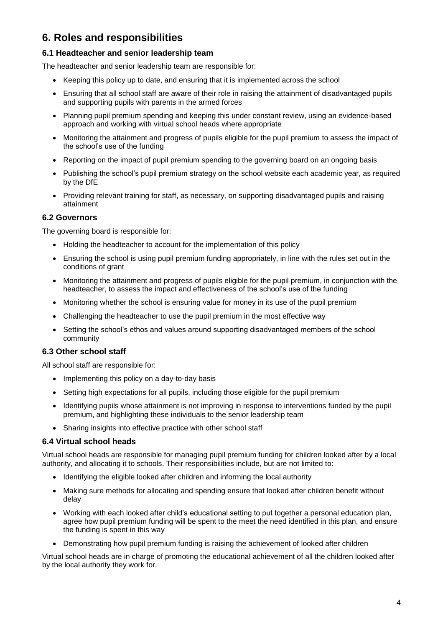## **6. Roles and responsibilities**

#### **6.1 Headteacher and senior leadership team**

The headteacher and senior leadership team are responsible for:

- Keeping this policy up to date, and ensuring that it is implemented across the school
- Ensuring that all school staff are aware of their role in raising the attainment of disadvantaged pupils and supporting pupils with parents in the armed forces
- Planning pupil premium spending and keeping this under constant review, using an evidence-based approach and working with virtual school heads where appropriate
- Monitoring the attainment and progress of pupils eligible for the pupil premium to assess the impact of the school's use of the funding
- Reporting on the impact of pupil premium spending to the governing board on an ongoing basis
- Publishing the school's pupil premium strategy on the school website each academic year, as required by the DfE
- Providing relevant training for staff, as necessary, on supporting disadvantaged pupils and raising attainment

#### **6.2 Governors**

The governing board is responsible for:

- Holding the headteacher to account for the implementation of this policy
- Ensuring the school is using pupil premium funding appropriately, in line with the rules set out in the conditions of grant
- Monitoring the attainment and progress of pupils eligible for the pupil premium, in conjunction with the headteacher, to assess the impact and effectiveness of the school's use of the funding
- Monitoring whether the school is ensuring value for money in its use of the pupil premium
- Challenging the headteacher to use the pupil premium in the most effective way
- Setting the school's ethos and values around supporting disadvantaged members of the school community

#### **6.3 Other school staff**

All school staff are responsible for:

- Implementing this policy on a day-to-day basis
- Setting high expectations for all pupils, including those eligible for the pupil premium
- Identifying pupils whose attainment is not improving in response to interventions funded by the pupil premium, and highlighting these individuals to the senior leadership team
- Sharing insights into effective practice with other school staff

#### **6.4 Virtual school heads**

Virtual school heads are responsible for managing pupil premium funding for children looked after by a local authority, and allocating it to schools. Their responsibilities include, but are not limited to:

- Identifying the eligible looked after children and informing the local authority
- Making sure methods for allocating and spending ensure that looked after children benefit without delay
- Working with each looked after child's educational setting to put together a personal education plan, agree how pupil premium funding will be spent to the meet the need identified in this plan, and ensure the funding is spent in this way
- Demonstrating how pupil premium funding is raising the achievement of looked after children

Virtual school heads are in charge of promoting the educational achievement of all the children looked after by the local authority they work for.